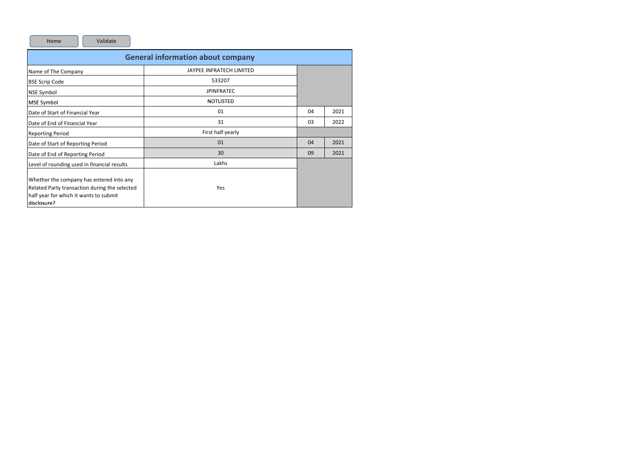Home

Validate

| <b>General information about company</b>                                                                                                           |                          |    |      |  |  |  |  |  |  |  |  |  |
|----------------------------------------------------------------------------------------------------------------------------------------------------|--------------------------|----|------|--|--|--|--|--|--|--|--|--|
| Name of The Company                                                                                                                                | JAYPEE INFRATECH LIMITED |    |      |  |  |  |  |  |  |  |  |  |
| <b>BSE Scrip Code</b>                                                                                                                              | 533207                   |    |      |  |  |  |  |  |  |  |  |  |
| NSE Symbol                                                                                                                                         | <b>JPINFRATEC</b>        |    |      |  |  |  |  |  |  |  |  |  |
| MSE Symbol                                                                                                                                         | <b>NOTLISTED</b>         |    |      |  |  |  |  |  |  |  |  |  |
| Date of Start of Financial Year                                                                                                                    | 01                       | 04 | 2021 |  |  |  |  |  |  |  |  |  |
| Date of End of Financial Year                                                                                                                      | 31                       | 03 | 2022 |  |  |  |  |  |  |  |  |  |
| <b>Reporting Period</b>                                                                                                                            | First half yearly        |    |      |  |  |  |  |  |  |  |  |  |
| Date of Start of Reporting Period                                                                                                                  | 01                       | 04 | 2021 |  |  |  |  |  |  |  |  |  |
| Date of End of Reporting Period                                                                                                                    | 30                       | 09 | 2021 |  |  |  |  |  |  |  |  |  |
| Level of rounding used in financial results                                                                                                        | Lakhs                    |    |      |  |  |  |  |  |  |  |  |  |
| Whether the company has entered into any<br>Related Party transaction during the selected<br>half year for which it wants to submit<br>disclosure? | Yes                      |    |      |  |  |  |  |  |  |  |  |  |